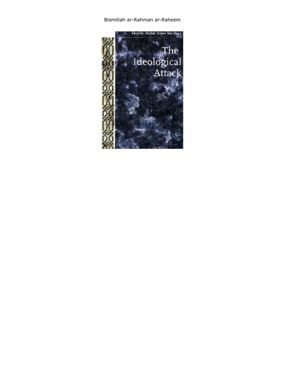Bismillah ar-Rahman ar-Raheem

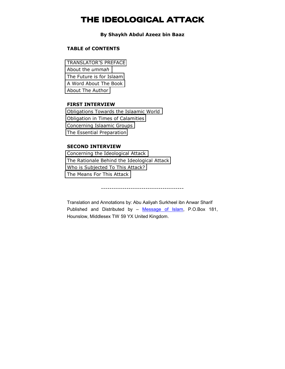# **THE IDEOLOGICAL ATTACK**

### **By Shaykh Abdul Azeez bin Baaz**

## **TABLE of CONTENTS**

[TRANSLATOR'S PREFACE](#page-3-0)  [About the](#page-3-0) *ummah*  [The Future is for Islaam](#page-5-0)  [A Word About The Book](#page-7-0)  [About The Author](#page-9-0)

#### **FIRST INTERVIEW**

[Obligations Towards the Islaamic World](#page-13-0) [Obligation in Times of Calamities](#page-13-0)  [Concerning Islaamic Groups](#page-18-0) [The Essential Preparation](#page-27-0) 

## **SECOND INTERVIEW**

[Concerning the Ideological Attack](#page-34-0)  [The Rationale Behind the Ideological Attack](#page-34-0) [Who is Subjected To This Attack?](#page-35-0) [The Means For This Attack](#page-41-0) 

---------------------------------------

Translation and Annotations by: Abu Aaliyah Surkheel ibn Anwar Sharif Published and Distributed by – Message of Islam, P.O.Box 181, Hounslow, Middlesex TW 59 YX United Kingdom.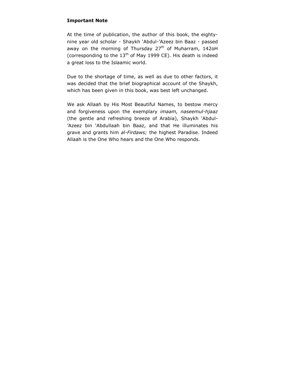## **Important Note**

At the time of publication, the author of this book, the eightynine year old scholar - Shaykh 'Abdul-'Azeez bin Baaz - passed away on the morning of Thursday  $27<sup>th</sup>$  of Muharram, 142oH (corresponding to the  $13<sup>th</sup>$  of May 1999 CE). His death is indeed a great loss to the Islaamic world.

Due to the shortage of time, as well as due to other factors, it was decided that the brief biographical account of the Shaykh, which has been given in this book, was best left unchanged.

We ask Allaah by His Most Beautiful Names, to bestow mercy and forgiveness upon the exemplary *imaam, naseemul-hjaaz*  (the gentle and refreshing breeze of Arabia), Shaykh 'Abdul- 'Azeez bin 'Abdullaah bin Baaz, and that He illuminates his grave and grants him *al-Firdaws;* the highest Paradise. Indeed Allaah is the One Who hears and the One Who responds.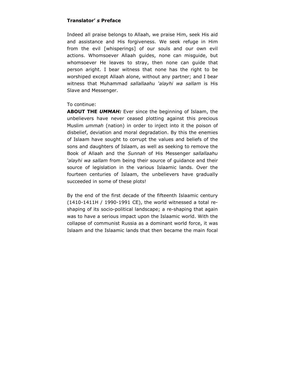## <span id="page-3-0"></span>**Translator'** *s* **Preface**

Indeed all praise belongs to Allaah, we praise Him, seek His aid and assistance and His forgiveness. We seek refuge in Him from the evil [whisperings] of our souls and our own evil actions. Whomsoever Allaah guides, none can misguide, but whomsoever He leaves to stray, then none can guide that person aright. I bear witness that none has the right to be worshiped except Allaah alone, without any partner; and I bear witness that Muhammad *sallallaahu 'alayhi wa sallam* is His Slave and Messenger.

### To continue:

**ABOUT THE** *UMMAH:* Ever since the beginning of Islaam, the unbelievers have never ceased plotting against this precious Muslim *ummah* (nation) in order to inject into it the poison of disbelief, deviation and moral degradation. By this the enemies of Islaam have sought to corrupt the values and beliefs of the sons and daughters of Islaam, as well as seeking to remove the Book of Allaah and the *Sunnah* of His Messenger *sallallaahu 'alayhi wa sallam* from being their source of guidance and their source of legislation in the various Islaamic lands. Over the fourteen centuries of Islaam, the unbelievers have gradually succeeded in some of these plots!

By the end of the first decade of the fifteenth Islaamic century (1410-1411H / 1990-1991 CE), the world witnessed a total reshaping of its socio-political landscape; a re-shaping that again was to have a serious impact upon the Islaamic world. With the collapse of communist Russia as a dominant world force, it was Islaam and the Islaamic lands that then became the main focal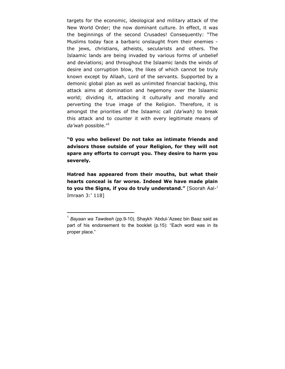targets for the economic, ideological and military attack of the New World Order; the now dominant culture. In effect, it was the beginnings of the second Crusades! Consequently: "The Muslims today face a barbaric onslaught from their enemies the jews, christians, atheists, secularists and others. The Islaamic lands are being invaded by various forms of unbelief and deviations; and throughout the Islaamic lands the winds of desire and corruption blow, the likes of which cannot be truly known except by Allaah, Lord of the servants. Supported by a demonic global plan as well as unlimited financial backing, this attack aims at domination and hegemony over the Islaamic world; dividing it, attacking it culturally and morally and perverting the true image of the Religion. Therefore, it is amongst the priorities of the Islaamic call *(da'wah)* to break this attack and to counter it with every legitimate means of *da'wah* possible."1

**"0 you who believe! Do not take as intimate friends and advisors those outside of your Religion, for they will not spare any efforts to corrupt you. They desire to harm you severely.** 

**Hatred has appeared from their mouths, but what their hearts conceal is far worse. Indeed We have made plain to you the Signs, if you do truly understand."** [Soorah Aal-' Imraan 3:' 118]

 $\overline{a}$ 

<sup>1</sup> *Bayaan wa Tawdeeh* (pp.9-10). Shaykh 'Abdul-'Azeez bin Baaz said as part of his endorsement to the booklet (p.15): "Each word was in its proper place."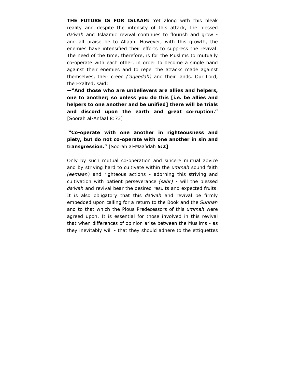<span id="page-5-0"></span>**THE FUTURE IS FOR ISLAAM:** Yet along with this bleak reality and despite the intensity of this attack, the blessed *da'wah* and Islaamic revival continues to flourish and grow and all praise be to Allaah. However, with this growth, the enemies have intensified their efforts to suppress the revival. The need of the time, therefore, is for the Muslims to mutually co-operate with each other, in order to become a single hand against their enemies and to repel the attacks made against themselves, their creed *('aqeedah)* and their lands. Our Lord, the Exalted, said:

**—"And those who are unbelievers are allies and helpers, one to another; so unless you do this [i.e. be allies and helpers to one another and be unified] there will be trials and discord upon the earth and great corruption."**  [Soorah al-Anfaal 8:73]

 **"Co-operate with one another in righteousness and piety, but do not co-operate with one another in sin and transgression."** [Soorah al-Maa'idah **5:2]** 

Only by such mutual co-operation and sincere mutual advice and by striving hard to cultivate within the *ummah* sound faith *(eemaan)* and righteous actions - adorning this striving and cultivation with patient perseverance *(sabr)* - will the blessed *da'wah* and revival bear the desired results and expected fruits. It is also obligatory that this *da'wah* and revival be firmly embedded upon calling for a return to the Book and the *Sunnah*  and to that which the Pious Predecessors of this *ummah* were agreed upon. It is essential for those involved in this revival that when differences of opinion arise between the Muslims - as they inevitably will - that they should adhere to the ettiquettes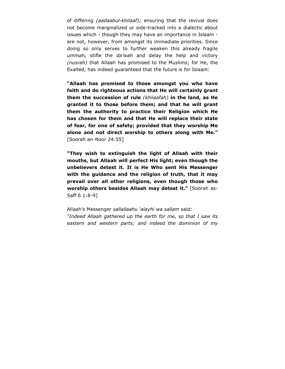of differing *(aadaabul-khilaaf);* ensuring that the revival does not become marginalized or side-tracked into a dialectic about issues which - though they may have an importance in Islaam are not, however, from amongst its immediate priorities. Since doing so only serves to further weaken this already fragile *ummah,* stifle the *da'wah* and delay the help and victory *(nusrah)* that Allaah has promised to the Muslims; for He, the Exalted, has indeed guaranteed that the future is for Islaam:

**"Allaah has promised to those amongst you who have faith and do righteous actions that He will certainly grant them the succession of rule** *(khilaafah)* **in the land, as He granted it to those before them; and that he will grant them the authority to practice their Religion which He has chosen for them and that He will replace their state of fear, for one of safety; provided that they worship Me alone and not direct worship to others along with Me."**  [Soorah an-Noor 24:55]

**"They wish to extinguish the light of Allaah with their mouths, but Allaah will perfect His light; even though the unbelievers detest it. It is He Who sent His Messenger with the guidance and the religion of truth, that it may prevail over all other religions, even though those who worship others besides Allaah may detest it."** [Soorah as-Saff 6 1:8-9]

Allaah's Messenger *sallallaahu 'alayhi wa sallam* said: *"Indeed Allaah gathered up the earth for me, so that I saw its eastern and western parts; and indeed the dominion of my*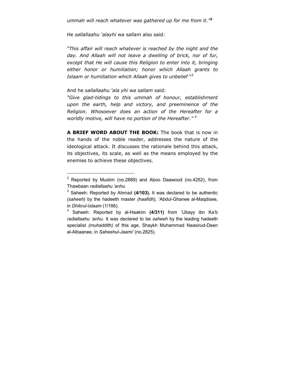<span id="page-7-0"></span>He *sallallaahu 'alayhi wa sallam* also said:

*"This affair will reach whatever is reached by the night and the day. And Allaah will not leave a dwelling of brick, nor of fur, except that He will cause this Religion to enter into it, bringing either honor or humiliation; honor which Allaah grants to Islaam or humiliation which Allaah gives to unbelief* "3

#### And he *sallallaahu 'ala yhi wa sallam* said:

 $\overline{a}$ 

*"Give glad-tidings to this ummah of honour, establishment upon the earth, help and victory, and preeminence of the Religion. Whosoever does an action of the Hereafter for a worldly motive, will have no portion of the Hereafter." <sup>4</sup>*

**A BRIEF WORD ABOUT THE BOOK:** The book that is now in the hands of the noble reader, addresses the nature of the ideological attack. It discusses the rationale behind this attack, its objectives, its scale, as well as the means employed by the enemies to achieve these objectives.

 $2$  Reported by Muslim (no.2889) and Aboo Daawood (no.4252), from Thawbaan *radiallaahu 'anhu*

<sup>3</sup> Saheeh: Reported by Ahmad **(4/103).** It was declared to be authentic *(saheeh)* by the hadeeth master *(haafidh),* 'Abdul-Ghanee al-Maqdisee, in *Dhikrul-Islaam* (1/166).

<sup>4</sup> Saheeh: Reported by al-Haakim **(4/311)** from 'Ubayy ibn Ka'b *radiallaahu 'anhu.* It was declared to be *saheeh* by the leading hadeeth specialist *(muhaddith)* of this age, Shaykh Muhammad Naasirud-Deen al-Albaanee, in *Saheehul-Jaami'* (no.2825).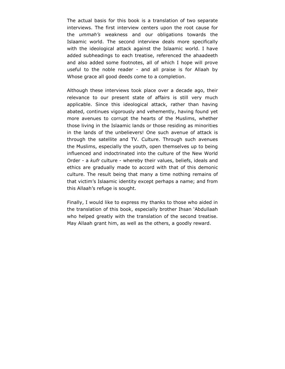The actual basis for this book is a translation of two separate interviews. The first interview centers upon the root cause for the *ummah's* weakness and our obligations towards the Islaamic world. The second interview deals more specifically with the ideological attack against the Islaamic world. I have added subheadings to each treatise, referenced the ahaadeeth and also added some footnotes, all of which I hope will prove useful to the noble reader - and all praise is for Allaah by Whose grace all good deeds come to a completion.

Although these interviews took place over a decade ago, their relevance to our present state of affairs is still very much applicable. Since this ideological attack, rather than having abated, continues vigorously and vehemently, having found yet more avenues to corrupt the hearts of the Muslims, whether those living in the Islaamic lands or those residing as minorities in the lands of the unbelievers! One such avenue of attack is through the satellite and TV. Culture. Through such avenues the Muslims, especially the youth, open themselves up to being influenced and indoctrinated into the culture of the New World Order - a *kufr* culture - whereby their values, beliefs, ideals and ethics are gradually made to accord with that of this demonic culture. The result being that many a time nothing remains of that victim's Islaamic identity except perhaps a name; and from this Allaah's refuge is sought.

Finally, I would like to express my thanks to those who aided in the translation of this book, especially brother Ihsan 'Abdullaah who helped greatly with the translation of the second treatise. May Allaah grant him, as well as the others, a goodly reward.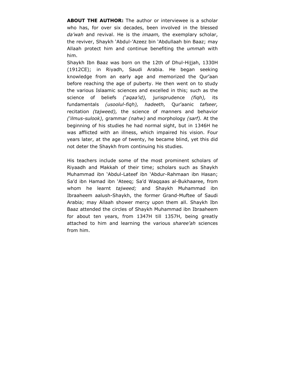<span id="page-9-0"></span>**ABOUT THE AUTHOR:** The author or interviewee is a scholar who has, for over six decades, been involved in the blessed *da'wah* and revival. He is the *imaam,* the exemplary scholar, the reviver, Shaykh 'Abdul-'Azeez bin 'Abdullaah bin Baaz; may Allaah protect him and continue benefiting the *ummah* with him.

Shaykh Ibn Baaz was born on the 12th of Dhul-Hijjah, 1330H (1912CE); in Riyadh, Saudi Arabia. He began seeking knowledge from an early age and memorized the Qur'aan before reaching the age of puberty. He then went on to study the various Islaamic sciences and excelled in this; such as the science of beliefs *('aqaa'id),* jurisprudence *(fiqh),* its fundamentals *(usoolul-fiqh), hadeeth,* Qur'aanic *tafseer,*  recitation *(tajweed),* the science of manners and behavior *('ilmus-sulook),* grammar *(nahw)* and morphology *(sarf).* At the beginning of his studies he had normal sight, but in 1346H he was afflicted with an illness, which impaired his vision. Four years later, at the age of twenty, he became blind, yet this did not deter the Shaykh from continuing his studies.

His teachers include some of the most prominent scholars of Riyaadh and Makkah of their time; scholars such as Shaykh Muhammad ibn 'Abdul-Lateef ibn 'Abdur-Rahmaan ibn Hasan; Sa'd ibn Hamad ibn 'Ateeq; Sa'd Waqqaas al-Bukhaaree, from whom he learnt *tajweed;* and Shaykh Muhammad ibn Ibraaheem aalush-Shaykh, the former Grand-Muftee of Saudi Arabia; may Allaah shower mercy upon them all. Shaykh Ibn Baaz attended the circles of Shaykh Muhammad ibn Ibraaheem for about ten years, from 1347H till 1357H, being greatly attached to him and learning the various *sharee'ah* sciences from him.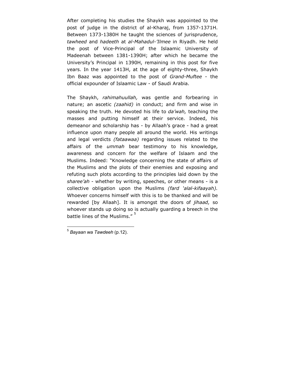After completing his studies the Shaykh was appointed to the post of judge in the district of al-Kharaj, from 1357-1371H. Between 1373-1380H he taught the sciences of jurisprudence, *tawheed* and *hadeeth* at *al-Mahadul-'Ilmee* in Riyadh. He held the post of Vice-Principal of the Islaamic University of Madeenah between 1381-1390H; after which he became the University's Principal in 1390H, remaining in this post for five years. In the year 1413H, at the age of eighty-three, Shaykh Ibn Baaz was appointed to the post of *Grand-Muftee* - the official expounder of Islaamic Law - of Saudi Arabia.

The Shaykh, *rahimahuullah,* was gentle and forbearing in nature; an ascetic *(zaahid)* in conduct; and firm and wise in speaking the truth. He devoted his life to *da'wah,* teaching the masses and putting himself at their service. Indeed, his demeanor and scholarship has - by Allaah's grace - had a great influence upon many people all around the world. His writings and legal verdicts *(fataawaa)* regarding issues related to the affairs of the *ummah* bear testimony to his knowledge, awareness and concern for the welfare of Islaam and the Muslims. Indeed: "Knowledge concerning the state of affairs of the Muslims and the plots of their enemies and exposing and refuting such plots according to the principles laid down by the *sharee'ah* - whether by writing, speeches, or other means - is a collective obligation upon the Muslims *(fard 'alal-kifaayah).*  Whoever concerns himself with this is to be thanked and will be rewarded [by Allaah]. It is amongst the doors of *jihaad,* so whoever stands up doing so is actually guarding a breech in the battle lines of the Muslims."

 $\overline{a}$ <sup>5</sup> *Bayaan wa Tawdeeh* (p.12).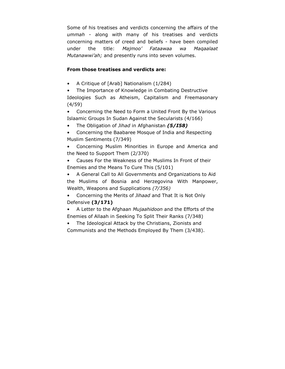Some of his treatises and verdicts concerning the affairs of the *ummah* - along with many of his treatises and verdicts concerning matters of creed and beliefs - have been compiled under the title: *Majmoo' Fataawaa wa Maqaalaat Mutanawwi'ah;* and presently runs into seven volumes.

# **From those treatises and verdicts are:**

• A Critique of [Arab] Nationalism (1/284)

• The Importance of Knowledge in Combating Destructive Ideologies Such as Atheism, Capitalism and Freemasonary (4/59)

• Concerning the Need to Form a United Front By the Various Islaamic Groups In Sudan Against the Secularists (4/166)

- The Obligation of *Jihad* in Afghanistan *(5/I58)*
- Concerning the Baabaree Mosque of India and Respecting Muslim Sentiments (7/349)

• Concerning Muslim Minorities in Europe and America and the Need to Support Them (2/370)

• Causes For the Weakness of the Muslims In Front of their Enemies and the Means To Cure This (5/101)

• A General Call to All Governments and Organizations to Aid the Muslims of Bosnia and Herzegovina With Manpower, Wealth, Weapons and Supplications *(7/356)* 

• Concerning the Merits of *Jihaad* and That It is Not Only Defensive **(3/171)** 

• A Letter to the Afghaan *Mujaahidoon* and the Efforts of the Enemies of Allaah in Seeking To Split Their Ranks (7/348)

The Ideological Attack by the Christians, Zionists and Communists and the Methods Employed By Them (3/438).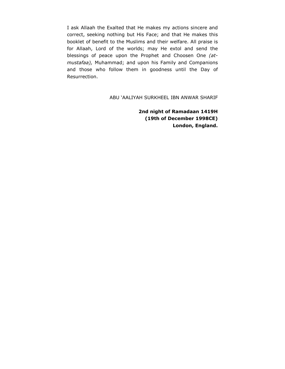I ask Allaah the Exalted that He makes my actions sincere and correct, seeking nothing but His Face; and that He makes this booklet of benefit to the Muslims and their welfare. All praise is for Allaah, Lord of the worlds; may He extol and send the blessings of peace upon the Prophet and Choosen One *(atmustafaa),* Muhammad; and upon his Family and Companions and those who follow them in goodness until the Day of Resurrection.

ABU 'AALIYAH SURKHEEL IBN ANWAR SHARIF

**2nd night of Ramadaan 1419H (19th of December 1998CE) London, England.**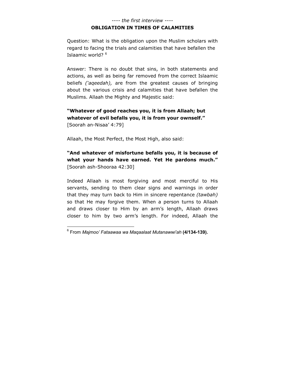## *---- the first interview ----*  **OBLIGATION IN TIMES OF CALAMITIES**

<span id="page-13-0"></span>Question: What is the obligation upon the Muslim scholars with regard to facing the trials and calamities that have befallen the Islaamic world? <sup>6</sup>

Answer: There is no doubt that sins, in both statements and actions, as well as being far removed from the correct Islaamic beliefs *('aqeedah),* are from the greatest causes of bringing about the various crisis and calamities that have befallen the Muslims. Allaah the Mighty and Majestic said:

**"Whatever of good reaches you, it is from Allaah; but whatever of evil befalls you, it is from your ownself."**  [Soorah an-Nisaa' 4:79]

Allaah, the Most Perfect, the Most High, also said:

**"And whatever of misfortune befalls you, it is because of what your hands have earned. Yet He pardons much."**  [Soorah ash-Shooraa 42:30]

Indeed Allaah is most forgiving and most merciful to His servants, sending to them clear signs and warnings in order that they may turn back to Him in sincere repentance *(tawbah)*  so that He may forgive them. When a person turns to Allaah and draws closer to Him by an arm's length, Allaah draws closer to him by two arm's length. For indeed, Allaah the

 6 From *Majmoo' Fataawaa wa Maqaalaat Mutanawwi'ah* **(4/134-139).**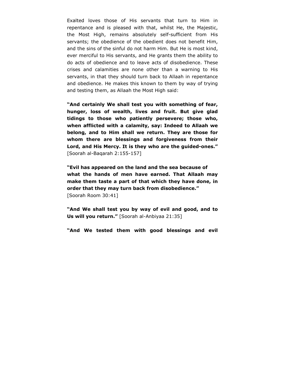Exalted loves those of His servants that turn to Him in repentance and is pleased with that, whilst He, the Majestic, the Most High, remains absolutely self-sufficient from His servants; the obedience of the obedient does not benefit Him, and the sins of the sinful do not harm Him. But He is most kind, ever merciful to His servants, and He grants them the ability to do acts of obedience and to leave acts of disobedience. These crises and calamities are none other than a warning to His servants, in that they should turn back to Allaah in repentance and obedience. He makes this known to them by way of trying and testing them, as Allaah the Most High said:

**"And certainly We shall test you with something of fear, hunger, loss of wealth, lives and fruit. But give glad tidings to those who patiently persevere; those who, when afflicted with a calamity, say: Indeed to Allaah we belong, and to Him shall we return. They are those for whom there are blessings and forgiveness from their Lord, and His Mercy. It is they who are the guided-ones."** [Soorah al-Baqarah 2:155-157]

**"Evil has appeared on the land and the sea because of what the hands of men have earned. That Allaah may make them taste a part of that which they have done, in order that they may turn back from disobedience."**  [Soorah Room 30:41]

**"And We shall test you by way of evil and good, and to Us will you return."** [Soorah al-Anbiyaa 21:35]

**"And We tested them with good blessings and evil**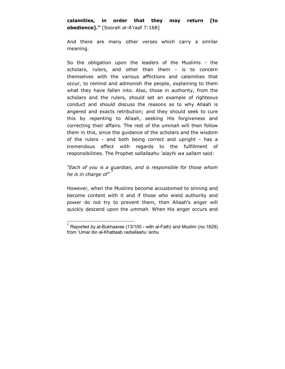And there are many other verses which carry a similar meaning.

So the obligation upon the leaders of the Muslims - the scholars, rulers, and other than them - is to concern themselves with the various afflictions and calamities that occur, to remind and admonish the people, explaining to them what they have fallen into. Also, those in authority, from the scholars and the rulers, should set an example of righteous conduct and should discuss the reasons as to why Allaah is angered and exacts retribution; and they should seek to cure this by repenting to Allaah, seeking His forgiveness and correcting their affairs. The rest of the *ummah* will then follow them in this, since the guidance of the scholars and the wisdom of the rulers - and both being correct and upright - has a tremendous effect with regards to the fulfillment of responsibilities. The Prophet *sallallaahu 'alayhi wa sallam* said:

# *"Each of you is a guardian, and is responsible for those whom he is in charge of"*

However, when the Muslims become accustomed to sinning and become content with it and if those who wield authority and power do not try to prevent them, then Allaah's anger will quickly descend upon the *ummah.* When His anger occurs and

 $\overline{a}$ 7 Reported by al-Bukhaaree (13/100 - with al-Fath*)* and Muslim (no.1829) from 'Umar ibn al-Khattaab *radiallaahu 'anhu*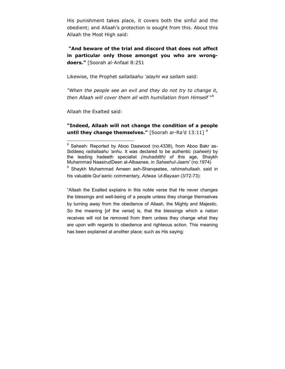His punishment takes place, it covers both the sinful and the obedient; and Allaah's protection is sought from this. About this Allaah the Most High said:

 **"And beware of the trial and discord that does not affect in particular only those amongst you who are wrongdoers."** [Soorah al-Anfaal 8:251

Likewise, the Prophet *sallallaahu 'alayhi wa sallam* said:

*"When the people see an evil and they do not try to change it, then Allaah will cover them all with humiliation from Himself* "8

Allaah the Exalted said:

**"Indeed, Allaah will not change the condition of a people until they change themselves."** [Soorah ar-Ra'd 13:11] <sup>9</sup>

"Allaah the Exalted explains in this noble verse that He never changes the blessings and well-being of a people unless they change themselves by turning away from the obedience of Allaah, the Mighty and Majestic. So the meaning [of the verse] is, that the blessings which a nation receives will not be removed from them unless they change what they are upon with regards to obedience and righteous action. This meaning has been explained at another place; such as His saying:

 8 Saheeh: Reported by Aboo Daawood (no.4338), from Aboo Bakr as-Siddeeq *radiallaahu 'anhu.* It was declared to be authentic *(saheeh)* by the leading hadeeth specialist *(muhaddith)* of this age, Shaykh Muhammad NaasirudDeen al-Albaanee, in *Saheehul-Jaami'* (no.1974)

<sup>9</sup> Shaykh Muhammad Ameen ash-Shanqeetee, *rahimahullaah,* said in his valuable Qur'aanic commentary, *Adwaa 'ut-Bayaan* (3/72-73):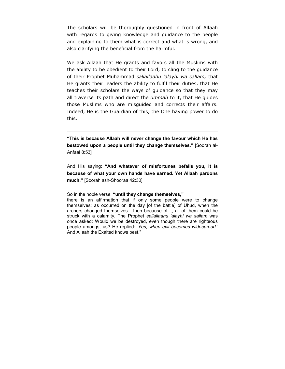The scholars will be thoroughly questioned in front of Allaah with regards to giving knowledge and guidance to the people and explaining to them what is correct and what is wrong, and also clarifying the beneficial from the harmful.

We ask Allaah that He grants and favors all the Muslims with the ability to be obedient to their Lord, to cling to the guidance of their Prophet Muhammad *sallallaahu 'alayhi wa sallam,* that He grants their leaders the ability to fulfil their duties, that He teaches their scholars the ways of guidance so that they may all traverse its path and direct the *ummah* to it, that He guides those Muslims who are misguided and corrects their affairs. Indeed, He is the Guardian of this, the One having power to do this.

**"This is because Allaah will never change the favour which He has bestowed upon a people until they change themselves."** [Soorah al-Anfaal 8:53]

And His saying: **"And whatever of misfortunes befalls you, it is because of what your own hands have earned. Yet Allaah pardons much."** [Soorah ash-Shooraa 42:30]

So in the noble verse: **"until they change themselves,"** 

 $\overline{a}$ 

there is an affirmation that if only some people were to change themselves; as occurred on the day [of the battle] of Uhud, when the archers changed themselves - then because of it, all of them could be struck with a calamity. The Prophet *sallallaahu 'alayhi wa sallam* was once asked: Would we be destroyed, even though there are righteous people amongst us? He replied: *'Yes, when evil becomes widespread.'*  And Allaah the Exalted knows best."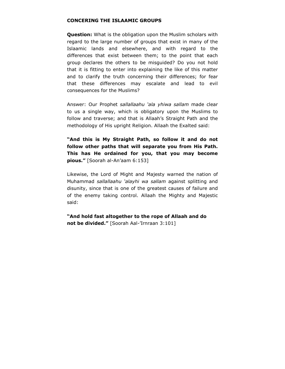## <span id="page-18-0"></span>**CONCERING THE ISLAAMIC GROUPS**

**Question:** What is the obligation upon the Muslim scholars with regard to the large number of groups that exist in many of the Islaamic lands and elsewhere, and with regard to the differences that exist between them; to the point that each group declares the others to be misguided? Do you not hold that it is fitting to enter into explaining the like of this matter and to clarify the truth concerning their differences; for fear that these differences may escalate and lead to evil consequences for the Muslims?

Answer: Our Prophet *sallallaahu 'ala yhiwa sallam* made clear to us a single way, which is obligatory upon the Muslims to follow and traverse; and that is Allaah's Straight Path and the methodology of His upright Religion. Allaah the Exalted said:

**"And this is My Straight Path, so follow it and do not follow other paths that will separate you from His Path. This has He ordained for you, that you may become pious."** [Soorah al-An'aam 6:153]

Likewise, the Lord of Might and Majesty warned the nation of Muhammad *sallallaahu 'alayhi wa sallam* against splitting and disunity, since that is one of the greatest causes of failure and of the enemy taking control. Allaah the Mighty and Majestic said:

**"And hold fast altogether to the rope of Allaah and do not be divided."** [Soorah Aal-'Irnraan 3:101]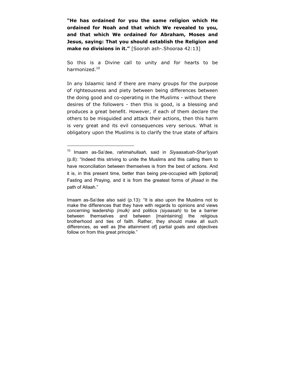**"He has ordained for you the same religion which He ordained for Noah and that which We revealed to you, and that which We ordained for Abraham, Moses and Jesus, saying: That you should establish the Religion and make no divisions in it."** [Soorah ash-.Shooraa 42:13]

So this is a Divine call to unity and for hearts to be harmonized.10

In any Islaamic land if there are many groups for the purpose of righteousness and piety between being differences between the doing good and co-operating in the Muslims - without there desires of the followers - then this is good, is a blessing and produces a great benefit. However, if each of them declare the others to be misguided and attack their actions, then this harm is very great and its evil consequences very serious. What is obligatory upon the Muslims is to clarify the true state of affairs

 $\overline{a}$ 

<sup>10</sup> Imaam as-Sa'dee, *rahimahullaah,* said in *Siyaasatush-Shar'iyyah*  (p.8): "Indeed this striving to unite the Muslims and this calling them to have reconciliation between themselves is from the best of actions. And it is, in this present time, better than being pre-occupied with [optional] Fasting and Praying, and it is from the greatest forms of *jihaad* in the path of Allaah."

Imaam as-Sa'dee also said (p.13): "It is also upon the Muslims not to make the differences that they have with regards to opinions and views concerning leadership *(mulk)* and politics *(siyaasah)* to be a barrier between themselves and between [maintaining] the religious brotherhood and ties of faith. Rather, they should make all such differences, as well as [the attainment of] partial goals and objectives follow on from this great principle."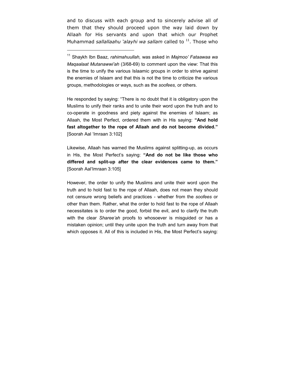and to discuss with each group and to sincerely advise all of them that they should proceed upon the way laid down by Allaah for His servants and upon that which our Prophet Muhammad *sallallaahu 'alayhi wa sallam* called to <sup>11</sup>. Those who

 $\overline{a}$ 

He responded by saying: "There is no doubt that it is obligatory upon the Muslims to unify their ranks and to unite their word upon the truth and to co-operate in goodness and piety against the enemies of Islaam; as Allaah, the Most Perfect, ordered them with in His saying: **"And hold fast altogether to the rope of Allaah and do not become divided."**  [Soorah Aal 'Imraan 3:102]

Likewise, Allaah has warned the Muslims against splitting-up, as occurs in His, the Most Perfect's saying: **"And do not be like those who differed and split-up after the clear evidences came to them."**  [Soorah Aal'Imraan 3:105]

However, the order to unify the Muslims and unite their word upon the truth and to hold fast to the rope of Allaah, does not mean they should not censure wrong beliefs and practices - whether from the *soofees* or other than them. Rather, what the order to hold fast to the rope of Allaah necessitates is to order the good, forbid the evil, and to clarify the truth with the clear *Sharee'ah* proofs to whosoever is misguided or has a mistaken opinion; until they unite upon the truth and turn away from that which opposes it. All of this is included in His, the Most Perfect's saying:

<sup>11</sup> Shaykh Ibn Baaz, *rahimahuullah,* was asked in *Majmoo' Fataawaa wa Maqaalaat Mutanawwi'ah* (3/68-69) to comment upon the view: That this is the time to unify the various Islaamic groups in order to strive against the enemies of Islaam and that this is not the time to criticize the various groups, methodologies or ways, such as the *soofees,* or others.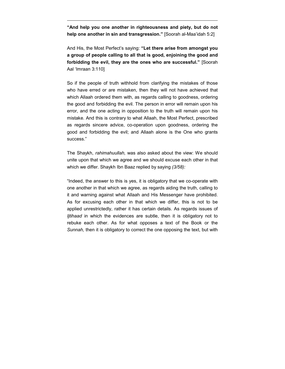**"And help you one another in righteousness and piety, but do not help one another in sin and transgression."** [Soorah al-Maa'idah 5:2]

 $\overline{a}$ 

And His, the Most Perfect's saying: **"Let there arise from amongst you a group of people calling to all that is good, enjoining the good and forbidding the evil, they are the ones who are successful."** [Soorah Aal 'Imraan 3:110]

So if the people of truth withhold from clarifying the mistakes of those who have erred or are mistaken, then they will not have achieved that which Allaah ordered them with, as regards calling to goodness, ordering the good and forbidding the evil. The person in error will remain upon his error, and the one acting in opposition to the truth will remain upon his mistake. And this is contrary to what Allaah, the Most Perfect, prescribed as regards sincere advice, co-operation upon goodness, ordering the good and forbidding the evil; and Allaah alone is the One who grants success."

The Shaykh, *rahimahuullah,* was also asked about the view: We should unite upon that which we agree and we should excuse each other in that which we differ. Shaykh Ibn Baaz replied by saying *(3/58):* 

"Indeed, the answer to this is yes, it is obligatory that we co-operate with one another in that which we agree, as regards aiding the truth, calling to it and warning against what Allaah and His Messenger have prohibited. As for excusing each other in that which we differ, this is not to be applied unrestrictedly, rather it has certain details. As regards issues of *Ijtihaad* in which the evidences are subtle, then it is obligatory not to rebuke each other. As for what opposes a text of the Book or the *Sunnah,* then it is obligatory to correct the one opposing the text, but with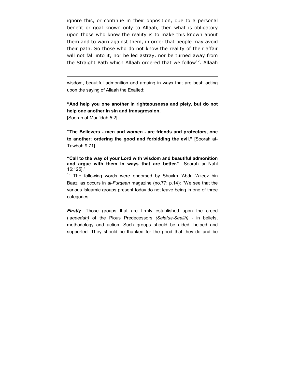ignore this, or continue in their opposition, due to a personal benefit or goal known only to Allaah, then what is obligatory upon those who know the reality is to make this known about them and to warn against them, in order that people may avoid their path. So those who do not know the reality of their affair will not fall into it, nor be led astray, nor be turned away from the Straight Path which Allaah ordered that we follow<sup>12</sup>. Allaah

wisdom, beautiful admonition and arguing in ways that are best; acting upon the saying of Allaah the Exalted:

**"And help you one another in righteousness and piety, but do not help one another in sin and transgression.** 

[Soorah al-Maa'idah 5:2]

 $\overline{a}$ 

**"The Believers - men and women - are friends and protectors, one to another; ordering the good and forbidding the evil."** [Soorah at-Tawbah 9:71]

**"Call to the way of your Lord with wisdom and beautiful admonition and argue with them in ways that are better."** [Soorah an-Nahl 16:125]."

 $12$  The following words were endorsed by Shaykh 'Abdul-'Azeez bin Baaz, as occurs in *al-Furqaan* magazine (no.77; p.14): "We see that the various Islaamic groups present today do not leave being in one of three categories:

*Firstly:* Those groups that are firmly established upon the creed ('a*qeedah)* of the Pious Predecessors *(Salafus-Saalih)* - in beliefs, methodology and action. Such groups should be aided, helped and supported. They should be thanked for the good that they do and be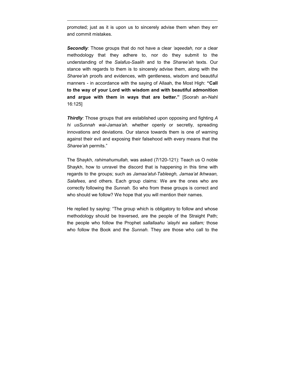promoted; just as it is upon us to sincerely advise them when they err and commit mistakes.

 $\overline{a}$ 

*Secondly:* Those groups that do not have a clear *'aqeedah,* nor a clear methodology that they adhere to, nor do they submit to the understanding of the *Salafus-Saalih* and to the *Sharee'ah* texts. Our stance with regards to them is to sincerely advise them, along with the *Sharee'ah* proofs and evidences, with gentleness, wisdom and beautiful manners - in accordance with the saying of Allaah, the Most High: **"Call to the way of your Lord with wisdom and with beautiful admonition and argue with them in ways that are better."** [Soorah an-Nahl 16:125]

*Thirdly:* Those groups that are established upon opposing and fighting *A hi usSunnah wai-Jamaa'ah.* whether openly or secretly, spreading innovations and deviations. Our stance towards them is one of warning against their evil and exposing their falsehood with every means that the *Sharee'ah* permits."

The Shaykh, *rahimahumullah,* was asked (7/120-121): Teach us O noble Shaykh, how to unravel the discord that is happening in this time with regards to the groups; such as *Jamaa'atut-Tableegh, Jamaa'at lkhwaan, Salafees,* and others. Each group claims: We are the ones who are correctly following the *Sunnah.* So who from these groups is correct and who should we follow? We hope that you will mention their names.

He replied by saying: "The group which is obligatory to follow and whose methodology should be traversed, are the people of the Straight Path; the people who follow the Prophet *sallallaahu 'alayhi wa sallam;* those who follow the Book and the *Sunnah.* They are those who call to the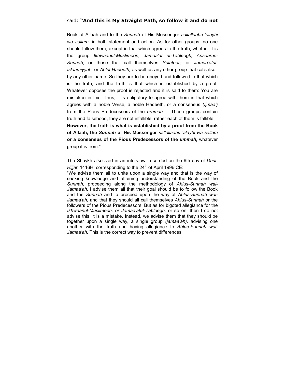#### said: **"And this is My Straight Path, so follow it and do not**

 $\overline{a}$ 

Book of Allaah and to the *Sunnah* of His Messenger *sallallaahu 'alayhi wa sallam,* in both statement and action. As for other groups, no one should follow them, except in that which agrees to the truth; whether it is the group *Ikhwaanul-Muslimoon, Jamaa'at ut-Tableegh, Ansaarus-Sunnah,* or those that call themselves *Salafees,* or *Jamaa'atul-Islaamiyyah,* or *Ahlul-Hadeeth;* as well as any other group that calls itself by any other name. So they are to be obeyed and followed in that which is the truth; and the truth is that which is established by a proof. Whatever opposes the proof is rejected and it is said to them: You are mistaken in this. Thus, it is obligatory to agree with them in that which agrees with a noble Verse, a noble Hadeeth, or a consensus *(Ijmaa')*  from the Pious Predecessors of the *urnmah* ... These groups contain truth and falsehood, they are not infallible; rather each of them is fallible.

**However, the truth is what is established by a proof from the Book of Allaah, the** *Sunnah* **of His Messenger** *sallallaahu 'alayhi wa sallam* **or a consensus of the Pious Predecessors of the** *ummah,* whatever group it is from."

The Shaykh also said in an interview, recorded on the 6th day of *Dhul-Hijjah* 1416H; corresponding to the 24<sup>th</sup> of April 1996 CE:

"We advise them all to unite upon a single way and that is the way of seeking knowledge and attaining understanding of the Book and the *Sunnah,* proceeding along the methodology of *Ahlus-Sunnah wal-Jamaa'ah.* I advise them all that their goal should be to follow the Book and the *Sunnah* and to proceed upon the way of *Ahlus-Sunnah wal-Jamaa'ah,* and that they should all call themselves *Ahlus-Sunnah* or the followers of the Pious Predecessors. But as for bigoted allegiance for the *Ikhwaanul-Muslimeen, or Jamaa'atut-Tableegh,* or so on, then I do not advise this; it is a mistake. Instead, we advise them that they should be together upon a single way, a single group *(jamaa'ah),* advising one another with the truth and having allegiance to *Ahlus-Sunnah wal-Jamaa'ah.* This is the correct way to prevent differences.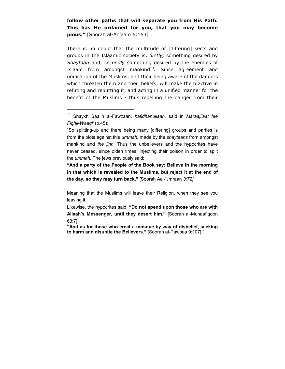**follow other paths that will separate you from His Path. This has He ordained for you, that you may become pious."** [Soorah al-An'aam 6:153]

There is no doubt that the multitude of [differing] sects and groups in the Islaamic society is, *firstly,* something desired by *Shaytaan* and, *secondly* something desired by the enemies of Islaam from amongst mankind $13$ . Since agreement and unification of the Muslims, and their being aware of the dangers which threaten them and their beliefs, will make them active in refuting and rebutting it, and acting in a unified manner for the benefit of the Muslims - thus repelling the danger from their

 $\overline{a}$ 

**"And a party of the People of the Book say: Believe in the morning in that which is revealed to the Muslims, but reject it at the end of the day, so they may turn back."** [Soorah Aal-'Jmraan *3:72]* 

Meaning that the Muslims will leave their Religion, when they see you leaving it.

Likewise, the hypocrites said: **"Do not spend upon those who are with Allaah's Messenger, until they desert him."** [Soorah al-Munaafiqoon 63:7]

**"And as for those who erect a mosque by way of disbelief, seeking to harm and disunite the Believers."** [Soorah at-Tawbaa 9:107]."

<sup>13</sup> Shaykh Saalih al-Fawzaan, *hafidhahullaah,* said in *Maraaji'aat fee Fiqhil-Waaqi'* (p.45):

<sup>&</sup>quot;So splitting-up and there being many [differing] groups and parties is from the plots against this *urnmah,* made by the *shaytaans* from amongst mankind and *the jinn.* Thus the unbelievers and the hypocrites have never ceased, since olden times, injecting their poison in order to split the *ummah.* The jews previously said: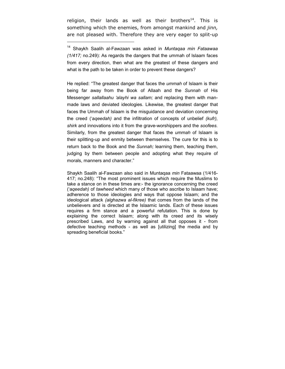religion, their lands as well as their brothers<sup>14</sup>. This is something which the enemies, from amongst mankind and *jinn,*  are not pleased with. Therefore they are very eager to split-up

 $\overline{a}$ 

He replied: "The greatest danger that faces the *ummah* of Islaam is their being far away from the Book of Allaah and the *Sunnah* of His Messenger *sallallaahu 'alayhi wa sallam;* and replacing them with manmade laws and deviated ideologies. Likewise, the greatest danger that faces the Ummah of Islaam is the misguidance and deviation concerning the creed ('a*qeedah)* and the infiltration of concepts of unbelief *(kufr), shirk* and innovations into it from the grave-worshippers and the *soofees.*  Similarly, from the greatest danger that faces the *ummah* of Islaam is their splitting-up and enmity between themselves. The cure for this is to return back to the Book and the *Sunnah;* learning them, teaching them, judging by them between people and adopting what they require of morals, manners and character."

Shaykh Saalih al-Fawzaan also said in Muntaqaa *min* Fataawaa (1/416- 417; no.248): "The most prominent issues which require the Muslims to take a stance on in these times are:- the ignorance concerning the creed ('a*qeedah)* of *tawheed* which many of those who ascribe to Islaam have; adherence to those ideologies and ways that oppose Islaam; and the ideological attack *(alghazwa al-fikree)* that comes from the lands of the unbelievers and is directed at the Islaamic lands. Each of these issues requires a firm stance and a powerful refutation. This is done by explaining the correct Islaam; along with its creed and its wisely prescribed Laws, and by warning against all that opposes it - from defective teaching methods - as well as [utilizing] the media and by spreading beneficial books."

<sup>14</sup> Shaykh Saalih al-Fawzaan was asked in *Muntaqaa min Fataawaa (1/417;* no.249): As regards the dangers that the ummah of Islaam faces from every direction, then what are the greatest of these dangers and what is the path to be taken in order to prevent these dangers?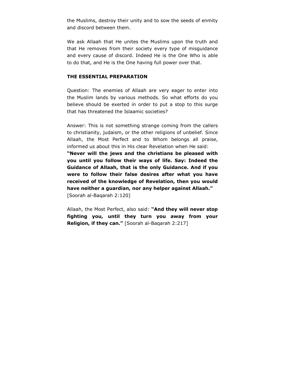<span id="page-27-0"></span>the Muslims, destroy their unity and to sow the seeds of enmity and discord between them.

We ask Allaah that He unites the Muslims upon the truth and that He removes from their society every type of misguidance and every cause of discord. Indeed He is the One Who is able to do that, and He is the One having full power over that.

## **THE ESSENTIAL PREPARATION**

Question: The enemies of Allaah are very eager to enter into the Muslim lands by various methods. So what efforts do you believe should be exerted in order to put a stop to this surge that has threatened the Islaamic societies?

Answer: This is not something strange coming from the callers to christianity, judaism, or the other religions of unbelief. Since Allaah, the Most Perfect and to Whom belongs all praise, informed us about this in His clear Revelation when He said:

**"Never will the jews and the christians be pleased with you until you follow their ways of life. Say: Indeed the Guidance of Allaah, that is the only Guidance. And if you were to follow their false desires after what you have received of the knowledge of Revelation, then you would have neither a guardian, nor any helper against Allaah."**  [Soorah al-Baqarah 2:120]

Allaah, the Most Perfect, also said: **"And they will never stop fighting you, until they turn you away from your Religion, if they can."** [Soorah al-Baqarah 2:217]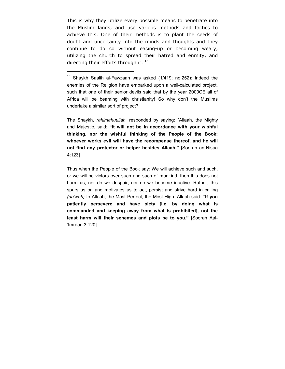This is why they utilize every possible means to penetrate into the Muslim lands, and use various methods and tactics to achieve this. One of their methods is to plant the seeds of doubt and uncertainty into the minds and thoughts and they continue to do so without easing-up or becoming weary, utilizing the church to spread their hatred and enmity, and directing their efforts through it.  $^{15}$ 

 $\overline{a}$ 

The Shaykh, *rahimahuullah,* responded by saying: "Allaah, the Mighty and Majestic, said: **"It will not be in accordance with your wishful thinking, nor the wishful thinking of the People of the Book; whoever works evil will have the recompense thereof, and he will not find any protector or helper besides Allaah."** [Soorah an-Nisaa 4:123]

Thus when the People of the Book say: We will achieve such and such, or we will be victors over such and such of mankind, then this does not harm us, nor do we despair, nor do we become inactive. Rather, this spurs us on and motivates us to act, persist and strive hard in calling *(da'wah)* to Allaah, the Most Perfect, the Most High. Allaah said: **"If you patiently persevere and have piety [i.e. by doing what is commanded and keeping away from what is prohibited], not the least harm will their schemes and plots be to you."** [Soorah Aal- 'Imraan 3:120]

<sup>&</sup>lt;sup>15</sup> Shaykh Saalih al-Fawzaan was asked (1/419; no.252): Indeed the enemies of the Religion have embarked upon a well-calculated project, such that one of their senior devils said that by the year 2000CE all of Africa will be beaming with christianity! So why don't the Muslims undertake a similar sort of project?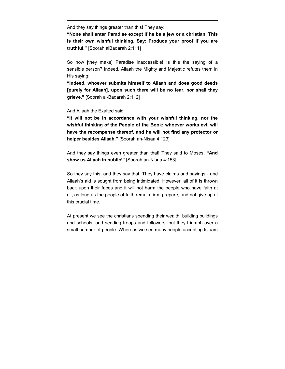And they say things greater than this! They say:

**"None shall enter Paradise except if he be a jew or a christian. This is their own wishful thinking. Say: Produce your proof if you are truthful."** [Soorah alBaqarah 2:111]

So now [they make] Paradise inaccessible! Is this the saying of a sensible person? Indeed, Allaah the Mighty and Majestic refutes them in His saying:

**"Indeed, whoever submits himself to Allaah and does good deeds [purely for Allaah], upon such there will be no fear, nor shall they grieve."** [Soorah al-Baqarah 2:112]

And Allaah the Exalted said:

 $\overline{a}$ 

**"It will not be in accordance with your wishful thinking, nor the wishful thinking of the People of the Book; whoever works evil will have the recompense thereof, and he will not find any protector or helper besides Allaah."** [Soorah an-Nisaa 4:123]

And they say things even greater than that! They said to Moses: **"And show us Allaah in public!"** [Soorah an-Nisaa 4:153]

So they say this, and they say that. They have claims and sayings - and Allaah's aid is sought from being intimidated. However, all of it is thrown back upon their faces and it will not harm the people who have faith at all, as long as the people of faith remain firm, prepare, and not give up at this crucial time.

At present we see the christians spending their wealth, building buildings and schools, and sending troops and followers, but they triumph over a small number of people. Whereas we see many people accepting Islaam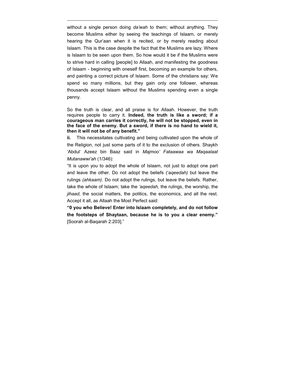without a single person doing *da'wah* to them; without anything. They become Muslims either by seeing the teachings of Islaam, or merely hearing the Qur'aan when it is recited, or by merely reading about Islaam. This is the case despite the fact that the Muslims are lazy. Where is Islaam to be seen upon them. So how would it be if the Muslims were to strive hard in calling [people] to Allaah, and manifesting the goodness of Islaam - beginning with oneself first, becoming an example for others, and painting a correct picture of Islaam. Some of the christians say: We spend so many millions, but they gain only one follower, whereas thousands accept Islaam without the Muslims spending even a single penny.

 $\overline{a}$ 

So the truth is clear, and all praise is for Allaah. However, the truth requires people to carry it. **Indeed, the truth is like a sword; if a courageous man carries it correctly, he will not be stopped, even in the face of the enemy. But a sword, if there is no hand to wield it, then it will not be of any benefit."** 

**ii.** This necessitates cultivating and being cultivated upon the whole of the Religion, not just some parts of it to the exclusion of others. Shaykh 'Abdul' Azeez bin Baaz said in *Majmoo' Fataawaa wa Maqaalaat Mutanawwi'ah* (1/346):

"It is upon you to adopt the whole of Islaam, not just to adopt one part and leave the other. Do not adopt the beliefs ('a*qeedah)* but leave the rulings *(ahkaam).* Do not adopt the rulings, but leave the beliefs. Rather, take the whole of Islaam; take the *'aqeedah,* the rulings, the worship, the *jihaad,* the social matters, the politics, the economics, and all the rest. Accept it all, as Allaah the Most Perfect said:

**"0 you who Believe! Enter into Islaam completely, and do not follow the footsteps of Shaytaan, because he is to you a clear enemy."**  [Soorah al-Baqarah 2:203]."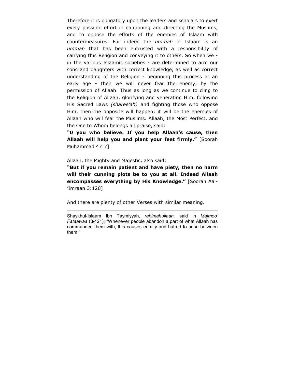Therefore it is obligatory upon the leaders and scholars to exert every possible effort in cautioning and directing the Muslims, and to oppose the efforts of the enemies of Islaam with countermeasures. For indeed the *ummah* of Islaam is an *ummah* that has been entrusted with a responsibility of carrying this Religion and conveying it to others. So when we in the various Islaamic societies - are determined to arm our sons and daughters with correct knowledge, as well as correct understanding of the Religion - beginning this process at an early age - then we will never fear the enemy, by the permission of Allaah. Thus as long as we continue to cling to the Religion of Allaah, glorifying and venerating Him, following His Sacred Laws *(sharee'ah)* and fighting those who oppose Him, then the opposite will happen; it will be the enemies of Allaah who will fear the Muslims. Allaah, the Most Perfect, and the One to Whom belongs all praise, said:

**"0 you who believe. If you help Allaah's cause, then Allaah will help you and plant your feet firmly."** [Soorah Muhammad 47:7]

Allaah, the Mighty and Majestic, also said:

 $\overline{a}$ 

**"But if you remain patient and have piety, then no harm will their cunning plots be to you at all. Indeed Allaah encompasses everything by His Knowledge."** [Soorah Aal- 'Imraan 3:120]

And there are plenty of other Verses with similar meaning.

Shaykhul-Islaam Ibn Taymiyyah, *rahimahuilaah,* said in *Majmoo' Fataawaa* (3/421): "Whenever people abandon a part of what Allaah has commanded them with, this causes enmity and hatred to arise between them."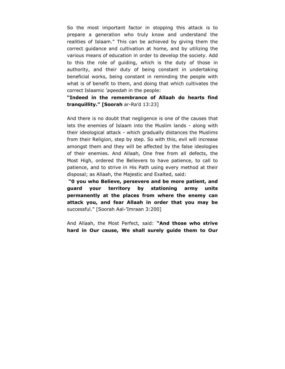So the most important factor in stopping this attack is to prepare a generation who truly know and understand the realities of Islaam." This can be achieved by giving them the correct guidance and cultivation at home, and by utilizing the various means of education in order to develop the society. Add to this the role of guiding, which is the duty of those in authority, and their duty of being constant in undertaking beneficial works, being constant in reminding the people with what is of benefit to them, and doing that which cultivates the correct Islaamic *'aqeedah* in the people:

**"Indeed in the remembrance of Allaah do hearts find tranquillity." [Soorah** ar-Ra'd 13:23]

And there is no doubt that negligence is one of the causes that lets the enemies of Islaam into the Muslim lands - along with their ideological attack - which gradually distances the Muslims from their Religion, step by step. So with this, evil will increase amongst them and they will be affected by the false ideologies of their enemies. And Allaah, One free from all defects, the Most High, ordered the Believers to have patience, to call to patience, and to strive in His Path using every method at their disposal; as Allaah, the Majestic and Exalted, said:

 **"0 you who Believe, persevere and be more patient, and guard your territory by stationing army units permanently at the places from where the enemy can attack you, and fear Allaah in order that you may be**  successful." [Soorah Aal-'Imraan 3:200]

And Allaah, the Most Perfect, said: **"And those who strive hard in Our cause, We shall surely guide them to Our**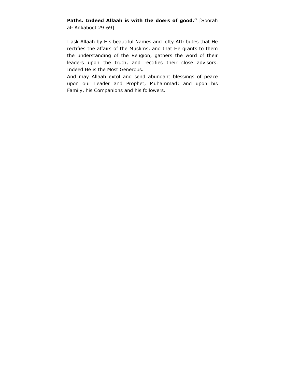# **Paths. Indeed Allaah is with the doers of good."** [Soorah al-'Ankaboot 29:69]

I ask Allaah by His beautiful Names and lofty Attributes that He rectifies the affairs of the Muslims, and that He grants to them the understanding of the Religion, gathers the word of their leaders upon the truth, and rectifies their close advisors. Indeed He is the Most Generous.

And may Allaah extol and send abundant blessings of peace upon our Leader and Prophet, Muhammad; and upon his Family, his Companions and his followers.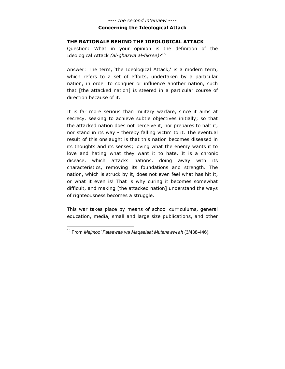# ---- *the second interview ----*  **Concerning the Ideological Attack**

#### <span id="page-34-0"></span>**THE RATIONALE BEHIND THE IDEOLOGICAL ATTACK**

Question: What in your opinion is the definition of the Ideological Attack *(al-ghazwa al-fikree)?<sup>16</sup>*

Answer: The term, 'the Ideological Attack,' is a modern term, which refers to a set of efforts, undertaken by a particular nation, in order to conquer or influence another nation, such that [the attacked nation] is steered in a particular course of direction because of it.

It is far more serious than military warfare, since it aims at secrecy, seeking to achieve subtle objectives initially; so that the attacked nation does not perceive it, nor prepares to halt it, nor stand in its way - thereby falling victim to it. The eventual result of this onslaught is that this nation becomes diseased in its thoughts and its senses; loving what the enemy wants it to love and hating what they want it to hate. It is a chronic disease, which attacks nations, doing away with its characteristics, removing its foundations and strength. The nation, which is struck by it, does not even feel what has hit it, or what it even is! That is why curing it becomes somewhat difficult, and making [the attacked nation] understand the ways of righteousness becomes a struggle.

This war takes place by means of school curriculums, general education, media, small and large size publications, and other

 $\overline{a}$ 

<sup>16</sup> From *Majmoo' Fataawaa wa Maqaalaat Mutanawwi'ah* (3/438-446).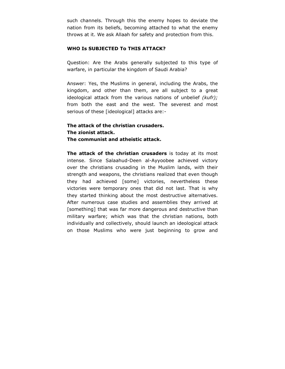<span id="page-35-0"></span>such channels. Through this the enemy hopes to deviate the nation from its beliefs, becoming attached to what the enemy throws at it. We ask Allaah for safety and protection from this.

## **WHO Is SUBJECTED To THIS ATTACK?**

Question: Are the Arabs generally subjected to this type of warfare, in particular the kingdom of Saudi Arabia?

Answer: Yes, the Muslims in general, including the Arabs, the kingdom, and other than them, are all subject to a great ideological attack from the various nations of unbelief *(kufr);*  from both the east and the west. The severest and most serious of these [ideological] attacks are:-

**The attack of the christian crusaders. The zionist attack. The communist and atheistic attack.** 

**The attack of the christian crusaders** is today at its most intense. Since Salaahud-Deen al-Ayyoobee achieved victory over the christians crusading in the Muslim lands, with their strength and weapons, the christians realized that even though they had achieved [some] victories, nevertheless these victories were temporary ones that did not last. That is why they started thinking about the most destructive alternatives. After numerous case studies and assemblies they arrived at [something] that was far more dangerous and destructive than military warfare; which was that the christian nations, both individually and collectively, should launch an ideological attack on those Muslims who were just beginning to grow and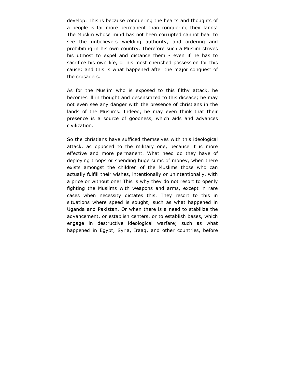develop. This is because conquering the hearts and thoughts of a people is far more permanent than conquering their lands! The Muslim whose mind has not been corrupted cannot bear to see the unbelievers wielding authority, and ordering and prohibiting in his own country. Therefore such a Muslim strives his utmost to expel and distance them - even if he has to sacrifice his own life, or his most cherished possession for this cause; and this is what happened after the major conquest of the crusaders.

As for the Muslim who is exposed to this filthy attack, he becomes ill in thought and desensitized to this disease; he may not even see any danger with the presence of christians in the lands of the Muslims. Indeed, he may even think that their presence is a source of goodness, which aids and advances civilization.

So the christians have sufficed themselves with this ideological attack, as opposed to the military one, because it is more effective and more permanent. What need do they have of deploying troops or spending huge sums of money, when there exists amongst the children of the Muslims those who can actually fulfill their wishes, intentionally or unintentionally, with a price or without one! This is why they do not resort to openly fighting the Muslims with weapons and arms, except in rare cases when necessity dictates this. They resort to this in situations where speed is sought; such as what happened in Uganda and Pakistan. Or when there is a need to stabilize the advancement, or establish centers, or to establish bases, which engage in destructive ideological warfare; such as what happened in Egypt, Syria, Iraaq, and other countries, before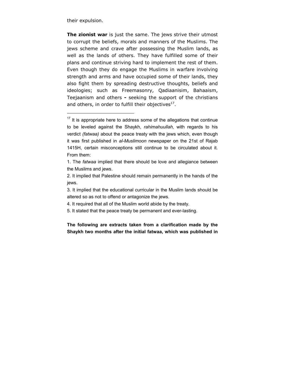their expulsion.

 $\overline{a}$ 

**The zionist war** is just the same. The jews strive their utmost to corrupt the beliefs, morals and manners of the Muslims. The jews scheme and crave after possessing the Muslim lands, as well as the lands of others. They have fulfilled some of their plans and continue striving hard to implement the rest of them. Even though they do engage the Muslims in warfare involving strength and arms and have occupied some of their lands, they also fight them by spreading destructive thoughts, beliefs and ideologies; such as Freemasonry, Qadiaanisim, Bahaaism, Teejaanism and others **-** seeking the support of the christians and others, in order to fulfill their objectives $^{17}$ .

**The following are extracts taken from a clarification made by the Shaykh two months after the initial fatwaa, which was published in** 

 $17$  It is appropriate here to address some of the allegations that continue to be leveled against the Shaykh, *rahimahuullah,* with regards to his verdict *(fatwaa)* about the peace treaty with the jews which, even though it was first published in *al-Muslimoon* newspaper on the 21st of Rajab 1415H, certain misconceptions still continue to be circulated about it. From them:

<sup>1.</sup> The *fatwaa* implied that there should be love and allegiance between the Muslims and jews.

<sup>2.</sup> It implied that Palestine should remain permanently in the hands of the jews.

<sup>3.</sup> It implied that the educational curricular in the Muslim lands should be altered so as not to offend or antagonize the jews.

<sup>4.</sup> It required that all of the Muslim world abide by the treaty.

<sup>5.</sup> It stated that the peace treaty be permanent and ever-lasting.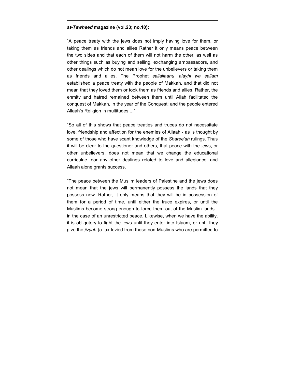#### **a***t-Tawheed* **magazine (vol.23; no.10):**

 $\overline{a}$ 

"A peace treaty with the jews does not imply having love for them, or taking them as friends and allies Rather it only means peace between the two sides and that each of them will not harm the other, as well as other things such as buying and selling, exchanging ambassadors, and other dealings which do not mean love for the unbelievers or taking them as friends and allies. The Prophet *sallallaahu 'alayhi wa sallam*  established a peace treaty with the people of Makkah, and that did not mean that they loved them or took them as friends and allies. Rather, the enmity and hatred remained between them until Allah facilitated the conquest of Makkah, in the year of the Conquest; and the people entered Allaah's Religion in multitudes ..."

"So all of this shows that peace treaties and truces do not necessitate love, friendship and affection for the enemies of Allaah - as is thought by some of those who have scant knowledge of the *Sharee'ah* rulings. Thus it will be clear to the questioner and others, that peace with the jews, or other unbelievers, does not mean that we change the educational curriculae, nor any other dealings related to love and allegiance; and Allaah alone grants success.

"The peace between the Muslim leaders of Palestine and the jews does not mean that the jews will permanently possess the lands that they possess now. Rather, it only means that they will be in possession of them for a period of time, until either the truce expires, or until the Muslims become strong enough to force them out of the Muslim lands in the case of an unrestricted peace. Likewise, when we have the ability, it is obligatory to fight the jews until they enter into Islaam, or until they give the *jizyah* (a tax levied from those non-Muslims who are permitted to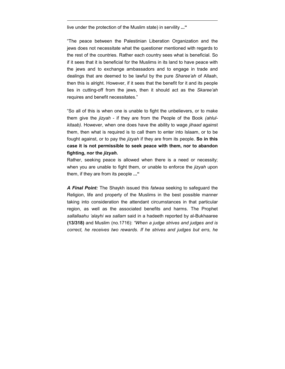live under the protection of the Muslim state) in servility **..."** 

 $\overline{a}$ 

"The peace between the Palestinian Liberation Organization and the jews does not necessitate what the questioner mentioned with regards to the rest of the countries. Rather each country sees what is beneficial. So if it sees that it is beneficial for the Muslims in its land to have peace with the jews and to exchange ambassadors and to engage in trade and dealings that are deemed to be lawful by the pure *Sharee'ah* of Allaah, then this is alright. However, if it sees that the benefit for it and its people lies in cutting-off from the jews, then it should act as the *Skaree'ah*  requires and benefit necessitates."

"So all of this is when one is unable to fight the unbelievers, or to make them give the *jizyah* - if they are from the People of the Book *(ahlulkitaab).* However, when one does have the ability to wage *jihaad* against them, then what is required is to call them to enter into Islaam, or to be fought against, or to pay the *jizyah* if they are from its people. **So in this case it is not permissible to seek peace with them, nor to abandon fighting, nor the** *jizyah***.** 

Rather, seeking peace is allowed when there is a need or necessity; when you are unable to fight them, or unable to enforce the *jizyah* upon them, if they are from its people **..."** 

*A Final Point:* The Shaykh issued this *fatwaa* seeking to safeguard the Religion, life and property of the Muslims in the best possible manner taking into consideration the attendant circumstances in that particular region, as well as the associated benefits and harms. The Prophet *sallallaahu 'alayhi wa sallam* said in a hadeeth reported by al-Bukhaaree **(13/318)** and Muslim (no.1716): *"When a judge strives and judges and is correct, he receives two rewards. If he strives and judges but errs, he*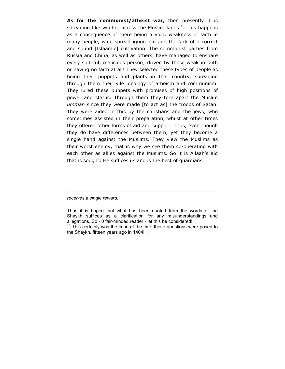**As for the communist/atheist war,** then presently it is spreading like wildfire across the Muslim lands.<sup>18</sup> This happens as a consequence of there being a void, weakness of faith in many people, wide spread ignorance and the lack of a correct and sound [Islaamic] cultivation. The communist parties from Russia and China, as well as others, have managed to ensnare every spiteful, malicious person; driven by those weak in faith or having no faith at all! They selected these types of people as being their puppets and plants in that country, spreading through them their vile ideology of atheism and communism. They lured these puppets with promises of high positions of power and status. Through them they tore apart the Muslim *ummah* since they were made [to act as] the troops of Satan. They were aided in this by the christians and the jews, who sometimes assisted in their preparation, whilst at other times they offered other forms of aid and support. Thus, even though they do have differences between them, yet they become a single hand against the Muslims. They view the Muslims as their worst enemy, that is why we see them co-operating with each other as allies against the Muslims. So it is Allaah's aid that is sought; He suffices us and is the best of guardians.

*receives a single reward."* 

 $\overline{a}$ 

Thus it is hoped that what has been quoted from the words of the Shaykh suffices as a clarification for any misunderstandings and allegations. So - 0 fair-minded reader - let this be considered!

 $18$  This certainly was the case at the time these questions were posed to the Shaykh, fifteen years ago in 1404H.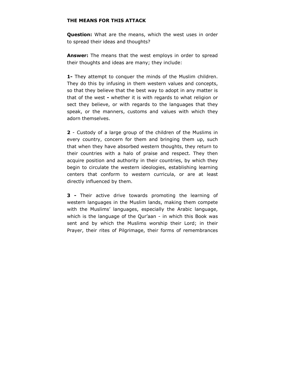# <span id="page-41-0"></span>**THE MEANS FOR THIS ATTACK**

**Question:** What are the means, which the west uses in order to spread their ideas and thoughts?

**Answer:** The means that the west employs in order to spread their thoughts and ideas are many; they include:

**1-** They attempt to conquer the minds of the Muslim children. They do this by infusing in them western values and concepts, so that they believe that the best way to adopt in any matter is that of the west **-** whether it is with regards to what religion or sect they believe, or with regards to the languages that they speak, or the manners, customs and values with which they adorn themselves.

**2** - Custody of a large group of the children of the Muslims in every country, concern for them and bringing them up, such that when they have absorbed western thoughts, they return to their countries with a halo of praise and respect. They then acquire position and authority in their countries, by which they begin to circulate the western ideologies, establishing learning centers that conform to western curricula, or are at least directly influenced by them.

**3 -** Their active drive towards promoting the learning of western languages in the Muslim lands, making them compete with the Muslims' languages, especially the Arabic language, which is the language of the Qur'aan - in which this Book was sent and by which the Muslims worship their Lord; in their Prayer, their rites of Pilgrimage, their forms of remembrances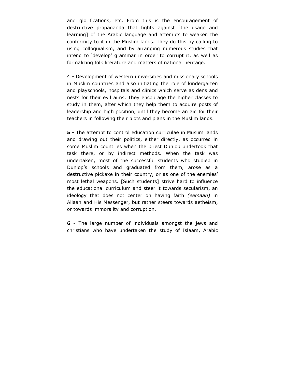and glorifications, etc. From this is the encouragement of destructive propaganda that fights against [the usage and learning] of the Arabic language and attempts to weaken the conformity to it in the Muslim lands. They do this by calling to using colloquialism, and by arranging numerous studies that intend to 'develop' grammar in order to corrupt it, as well as formalizing folk literature and matters of national heritage.

4 **-** Development of western universities and missionary schools in Muslim countries and also initiating the role of kindergarten and playschools, hospitals and clinics which serve as dens and nests for their evil aims. They encourage the higher classes to study in them, after which they help them to acquire posts of leadership and high position, until they become an aid for their teachers in following their plots and plans in the Muslim lands.

**5** - The attempt to control education curriculae in Muslim lands and drawing out their politics, either directly, as occurred in some Muslim countries when the priest Dunlop undertook that task there, or by indirect methods. When the task was undertaken, most of the successful students who studied in Dunlop's schools and graduated from them, arose as a destructive pickaxe in their country, or as one of the enemies' most lethal weapons. [Such students] strive hard to influence the educational curriculum and steer it towards secularism, an ideology that does not center on having faith *(eemaan)* in Allaah and His Messenger, but rather steers towards aetheism, or towards immorality and corruption.

**6** - The large number of individuals amongst the jews and christians who have undertaken the study of Islaam, Arabic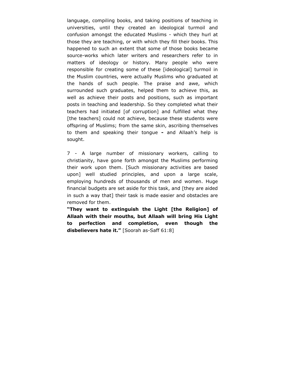language, compiling books, and taking positions of teaching in universities, until they created an ideological turmoil and confusion amongst the educated Muslims - which they hurl at those they are teaching, or with which they fill their books. This happened to such an extent that some of those books became source-works which later writers and researchers refer to in matters of ideology or history. Many people who were responsible for creating some of these [ideological] turmoil in the Muslim countries, were actually Muslims who graduated at the hands of such people. The praise and awe, which surrounded such graduates, helped them to achieve this, as well as achieve their posts and positions, such as important posts in teaching and leadership. So they completed what their teachers had initiated [of corruption] and fulfilled what they [the teachers] could not achieve, because these students were offspring of Muslims; from the same skin, ascribing themselves to them and speaking their tongue **-** and Allaah's help is sought.

7 - A large number of missionary workers, calling to christianity, have gone forth amongst the Muslims performing their work upon them. [Such missionary activities are based upon] well studied principles, and upon a large scale, employing hundreds of thousands of men and women. Huge financial budgets are set aside for this task, and [they are aided in such a way that] their task is made easier and obstacles are removed for them.

**"They want to extinguish the Light [the Religion] of Allaah with their mouths, but Allaah will bring His Light to perfection and completion, even though the disbelievers hate it."** [Soorah as-Saff 61:8]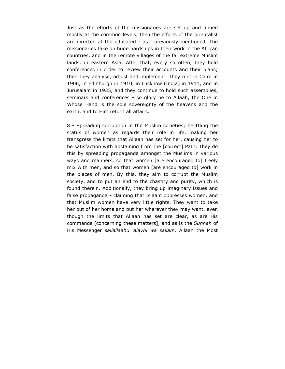Just as the efforts of the missionaries are set up and aimed mostly at the common levels, then the efforts of the orientalist are directed at the educated - as I previously mentioned. The missionaries take on huge hardships in their work in the African countries, and in the remote villages of the far extreme Muslim lands, in eastern Asia. After that, every so often, they hold conferences in order to review their accounts and their plans; then they analyse, adjust and implement. They met in Cairo in 1906, in Edinburgh in 1910, in Lucknow (India) in 1911, and in Jurusalam in 1935, and they continue to hold such assemblies, seminars and conferences **-** so glory be to Allaah, the One in Whose Hand is the sole sovereignty of the heavens and the earth, and to Him return all affairs.

8 **-** Spreading corruption in the Muslim societies; belittling the status of women as regards their role in life, making her transgress the limits that Allaah has set for her, causing her to be satisfaction with abstaining from the [correct] Path. They do this by spreading propaganda amongst the Muslims in various ways and manners, so that women [are encouraged to] freely mix with men, and so that women [are encouraged to] work in the places of men. By this, they aim to corrupt the Muslim society, and to put an end to the chastity and purity, which is found therein. Additionally, they bring up imaginary issues and false propaganda **-** claiming that Islaam oppresses women, and that Muslim women have very little rights. They want to take her out of her home and put her wherever they may want, even though the limits that Allaah has set are clear, as are His commands [concerning these matters], and as is the *Sunnah* of His Messenger *sallallaahu 'alayhi wa sallam.* Allaah the Most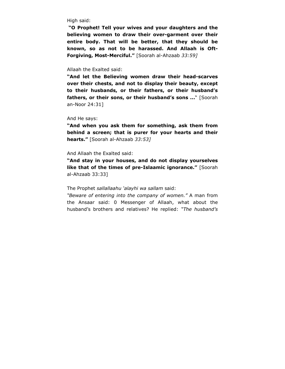High said:

 **"O Prophet! Tell your wives and your daughters and the believing women to draw their over-garment over their entire body. That will be better, that they should be known, so as not to be harassed. And Allaah is Oft-Forgiving, Most-Merciful."** [Soorah al-Ahzaab *33:59]* 

#### Allaah the Exalted said:

**"And let the Believing women draw their head-scarves over their chests, and not to display their beauty, except to their husbands, or their fathers, or their husband's**  fathers, or their sons, or their husband's sons ..." [Soorah an-Noor 24:31]

And He says:

**"And when you ask them for something, ask them from behind a screen; that is purer for your hearts and their hearts."** [Soorah al-Ahzaab *33:53]* 

#### And Allaah the Exalted said:

**"And stay in your houses, and do not display yourselves like that of the times of pre-Islaamic ignorance."** [Soorah al-Ahzaab 33:33]

#### The Prophet *sallallaahu 'alayhi wa sallam* said:

*"Beware of entering into the company of women."* A man from the Ansaar said: 0 Messenger of Allaah, what about the husband's brothers and relatives? He replied: *"The husband's*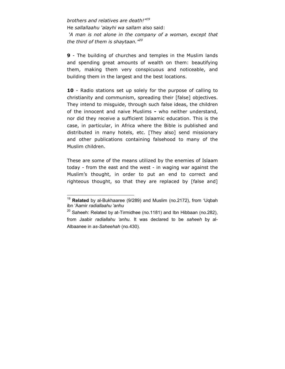*brothers and relatives are death!"19* He *sallallaahu 'alayhi wa sallam* also said:  *'A man is not alone in the company of a woman, except that the third of them is shaytaan."20*

**9** - The building of churches and temples in the Muslim lands and spending great amounts of wealth on them: beautifying them, making them very conspicuous and noticeable, and building them in the largest and the best locations.

**10** - Radio stations set up solely for the purpose of calling to christianity and communism, spreading their [false] objectives. They intend to misguide, through such false ideas, the children of the innocent and naive Muslims **-** who neither understand, nor did they receive a sufficient Islaamic education. This is the case, in particular, in Africa where the Bible is published and distributed in many hotels, etc. [They also] send missionary and other publications containing falsehood to many of the Muslim children.

These are some of the means utilized by the enemies of Islaam today - from the east and the west - in waging war against the Muslim's thought, in order to put an end to correct and righteous thought, so that they are replaced by [false and]

 $\overline{a}$ <sup>19</sup> **Related** by al-Bukhaaree (9/289) and Muslim (no.2172), from 'Uqbah ibn 'Aamir *radiallaahu 'anhu*

 $20$  Saheeh: Related by at-Tirmidhee (no.1181) and Ibn Hibbaan (no.282), from Jaabir *radiallahu 'anhu.* It was declared to be *saheeh* by al-Albaanee in *as-Saheehah* (no.430).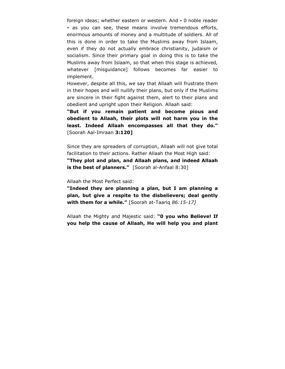foreign ideas; whether eastern or western. And **-** 0 noble reader **-** as you can see, these means involve tremendous efforts, enormous amounts of money and a multitude of soldiers. All of this is done in order to take the Muslims away from Islaam, even if they do not actually embrace christianity, judaism or socialism. Since their primary goal in doing this is to take the Muslims away from Islaam, so that when this stage is achieved, whatever [misguidance] follows becomes far easier to implement.

However, despite all this, we say that Allaah will frustrate them in their hopes and will nullify their plans, but only if the Muslims are sincere in their fight against them, alert to their plans and obedient and upright upon their Religion. Allaah said:

**"But if you remain patient and become pious and obedient to Allaah, their plots will not harm you in the least. Indeed Allaah encompasses all that they do."**  [Soorah Aal-Imraan **3:120]** 

Since they are spreaders of corruption, Allaah will not give total facilitation to their actions. Rather Allaah the Most High said:

**"They plot and plan, and Allaah plans, and indeed Allaah is the best of planners."** [Soorah al-Anfaal 8:30]

Allaah the Most Perfect said:

**"Indeed they are planning a plan, but I am planning a plan, but give a respite to the disbelievers; deal gently with them for a while."** [Soorah at-Taariq *86:15-17]* 

Allaah the Mighty and Majestic said: **"0 you who Believe! If you help the cause of Allaah, He will help you and plant**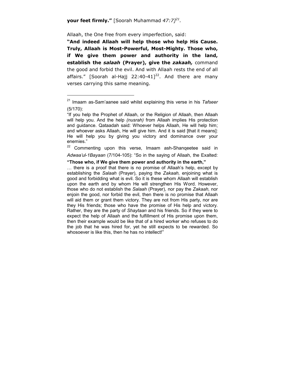## **your feet firmly."** [Soorah Muhammad *47:7]21.*

Allaah, the One free from every imperfection, said:

 $\overline{a}$ 

**"And indeed Allaah will help those who help His Cause. Truly, Allaah is Most-Powerful, Most-Mighty. Those who, if We give them power and authority in the land, establish the** *salaah* **(Prayer), give the** *zakaah,* command the good and forbid the evil. And with Allaah rests the end of all affairs." [Soorah al-Hajj 22:40-41] $<sup>22</sup>$ . And there are many</sup> verses carrying this same meaning.

<sup>22</sup> Commenting upon this verse, Imaam ash-Shanqeetee said in *Adwaa'ul-1Bayaan* (7/104-105): "So in the saying of Allaah, the Exalted:

#### **"Those who, if We give them power and authority in the earth,"**

… there is a proof that there is no promise of Allaah's help, except by establishing the *Salaah* (Prayer), paying the *Zakaah,* enjoining what is good and forbidding what is evil. So it is these whom Allaah will establish upon the earth and by whom He will strengthen His Word. However, those who do not establish the *Salaah* (Prayer), nor pay the *Zakaah,* nor enjoin the good, nor forbid the evil, then there is no promise that Allaah will aid them or grant them victory. They are not from His party, nor are they His friends; those who have the promise of His help and victory. Rather, they are the party of *Shaytaan* and his friends. So if they were to expect the help of Allaah and the fulfillment of His promise upon them, then their example would be like that of a hired worker who refuses to do the job that he was hired for, yet he still expects to be rewarded. So whosoever is like this, then he has no intellect!"

<sup>21</sup> Imaam as-Sam'aanee said whilst explaining this verse in his *Tafseer*  (5/170):

<sup>&</sup>quot;If you help the Prophet of Allaah, or the Religion of Allaah, then Allaah will help you. And the help *(nusrah)* from Allaah implies His protection and guidance. Qataadah said: Whoever helps Allaah, He will help him; and whoever asks Allaah, He will give him. And it is said [that it means]: He will help you by giving you victory and dominance over your enemies."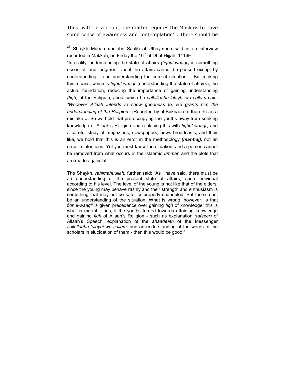Thus, without a doubt, the matter requires the Muslims to have some sense of awareness and contemplation $23$ . There should be

 $\overline{a}$ 

"In reality, understanding the state of affairs *(fiqhul-waaqi')* is something essential, and judgment about the affairs cannot be passed except by understanding it and understanding the current situation.... But making this means, which is *fiqhul-waaqi'* (understanding the state of affairs), the actual foundation, reducing the importance of gaining understanding *(fiqh)* of the Religion, about which he *sallallaahu 'alayhi wa sallam* said: *"Whoever Allaah intends to show goodness to, He grants him the understanding of the Religion."* [Reported by al-Bukhaaree] then this is a mistake **...** So we hold that pre-occupying the youths away from seeking knowledge of Allaah's Religion and replacing this with *fiqhul-waaqi',* and a careful study of magazines, newspapers, news broadcasts, and their like, we hold that this is an error in the methodology *(manhaj),* not an error in intentions. Yet you must know the situation, and a person cannot be removed from what occurs in the Islaamic *ummah* and the plots that are made against it."

The Shaykh, *rahimahuullah,* further said: "As I have said, there must be an understanding of the present state of affairs, each individual according to his level. The level of the young is not like that of the elders, since the young may behave rashly and their strength and enthusiasm is something that may not be safe, or properly channeled. But there must be an understanding of the situation. What is wrong, however, is that *fiqhul-waaqi'* is given precedence over gaining *fiqh* of knowledge; this is what is meant. Thus, if the youths turned towards attaining knowledge and gaining *fiqh* of Allaah's Religion - such as explanation *(tafseer)* of Allaah's Speech, explanation of the *ahaadeeth* of the Messenger *sallallaahu 'alayhi wa sallam,* and an understanding of the words of the scholars in elucidation of them - then this would be good."

<sup>&</sup>lt;sup>23</sup> Shaykh Muhammad ibn Saalih al-'Uthaymeen said in an interview recorded in Makkah, on Friday the  $16<sup>th</sup>$  of Dhul-Hijjah; 1416H: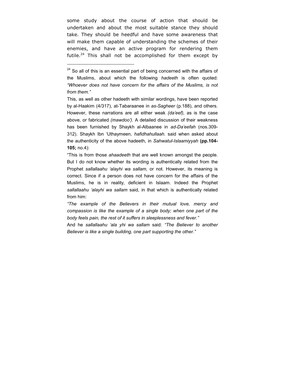some study about the course of action that should be undertaken and about the most suitable stance they should take. They should be heedful and have some awareness that will make them capable of understanding the schemes of their enemies, and have an active program for rendering them futile.<sup>24</sup> This shall not be accomplished for them except by

 $\overline{a}$ 

 $24$  So all of this is an essential part of being concerned with the affairs of the Muslims, about which the following *hadeeth* is often quoted: *"Whoever does not have concern for the affairs of the Muslims, is not from them."* 

This, as well as other hadeeth with similar wordings, have been reported by al-Haakim (4/317), at-Tabaraanee in *as-Sagheer* (p.188), and others. However, these narrations are all either weak *(da'eef),* as is the case above, or fabricated *(mawdoo').* A detailed discussion of their weakness has been furnished by Shaykh al-Albaanee in *ad-Da'eefah* (nos.309- 312). Shaykh Ibn 'Uthaymeen, *hafidhahullaah.* said when asked about the authenticity of the above hadeeth, in *Sahwatul-Islaamiyyah* **(pp.104- 105;** no.4):

<sup>&</sup>quot;This is from those *ahaadeeth* that are well known amongst the people. But I do not know whether its wording is authentically related from the Prophet *sallallaahu 'alayhi wa sallam,* or not. However, its meaning is correct. Since if a person does not have concern for the affairs of the Muslims, he is in reality, deficient in Islaam. Indeed the Prophet *sallallaahu 'alayhi wa sallam* said, in that which is authentically related from him:

*<sup>&</sup>quot;The example of the Believers in their mutual love, mercy and compassion is like the example of a single body; when one part of the body feels pain, the rest of it suffers in sleeplessness and fever."* 

And he *sallallaahu 'ala yhi wa sallam* said: *"The Believer to another Believer is like a single building, one part supporting the other."*